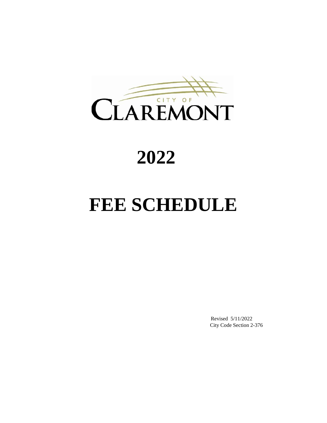

# **2022**

# **FEE SCHEDULE**

Revised 5/11/2022 City Code Section 2-376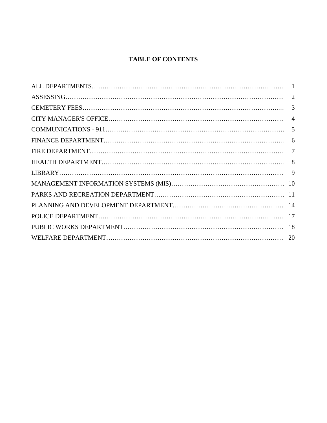# **TABLE OF CONTENTS**

| 3 |
|---|
|   |
|   |
|   |
|   |
|   |
|   |
|   |
|   |
|   |
|   |
|   |
|   |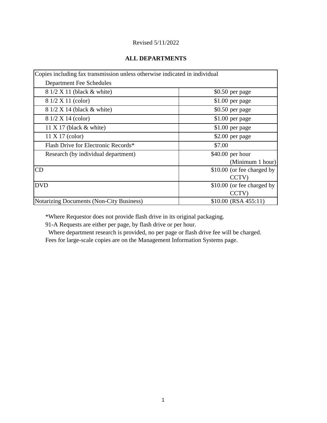### **ALL DEPARTMENTS**

| Copies including fax transmission unless otherwise indicated in individual |                            |
|----------------------------------------------------------------------------|----------------------------|
| <b>Department Fee Schedules</b>                                            |                            |
| 8 1/2 X 11 (black & white)                                                 | \$0.50 per page            |
| 8 1/2 X 11 (color)                                                         | \$1.00 per page            |
| 8 1/2 X 14 (black & white)                                                 | \$0.50 per page            |
| 8 1/2 X 14 (color)                                                         | \$1.00 per page            |
| 11 X 17 (black $&$ white)                                                  | \$1.00 per page            |
| 11 X 17 (color)                                                            | \$2.00 per page            |
| Flash Drive for Electronic Records*                                        | \$7.00                     |
| Research (by individual department)                                        | \$40.00 per hour           |
|                                                                            | (Minimum 1 hour)           |
| CD                                                                         | \$10.00 (or fee charged by |
|                                                                            | CCTV)                      |
| <b>DVD</b>                                                                 | \$10.00 (or fee charged by |
|                                                                            | CCTV)                      |
| Notarizing Documents (Non-City Business)                                   | $$10.00$ (RSA 455:11)      |

\*Where Requestor does not provide flash drive in its original packaging.

91-A Requests are either per page, by flash drive or per hour.

 Where department research is provided, no per page or flash drive fee will be charged. Fees for large-scale copies are on the Management Information Systems page.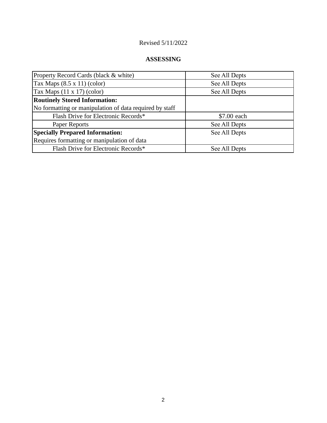# **ASSESSING**

| Property Record Cards (black & white)                   | See All Depts |
|---------------------------------------------------------|---------------|
| Tax Maps $(8.5 \times 11)$ (color)                      | See All Depts |
| Tax Maps $(11 \times 17)$ (color)                       | See All Depts |
| <b>Routinely Stored Information:</b>                    |               |
| No formatting or manipulation of data required by staff |               |
| Flash Drive for Electronic Records*                     | \$7.00 each   |
| Paper Reports                                           | See All Depts |
| <b>Specially Prepared Information:</b>                  | See All Depts |
| Requires formatting or manipulation of data             |               |
| Flash Drive for Electronic Records*                     | See All Depts |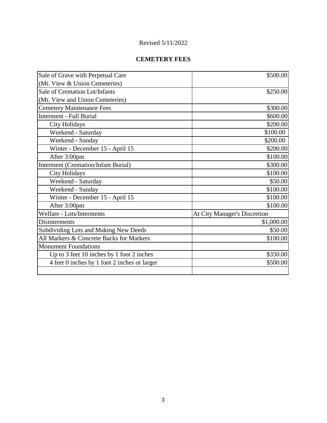# **CEMETERY FEES**

| Sale of Grave with Perpetual Care            | \$500.00                            |
|----------------------------------------------|-------------------------------------|
| (Mt. View & Union Cemeteries)                |                                     |
| Sale of Cremation Lot/Infants                | \$250.00                            |
| (Mt. View and Union Cemeteries)              |                                     |
| <b>Cemetery Maintenance Fees</b>             | \$300.00                            |
| <b>Interment - Full Burial</b>               | \$600.00                            |
| <b>City Holidays</b>                         | \$200.00                            |
| Weekend - Saturday                           | \$100.00                            |
| Weekend - Sunday                             | \$200.00                            |
| Winter - December 15 - April 15              | \$200.00                            |
| After 3:00pm                                 | \$100.00                            |
| <b>Interment (Cremation/Infant Burial)</b>   | \$300.00                            |
| <b>City Holidays</b>                         | \$100.00                            |
| Weekend - Saturday                           | \$50.00                             |
| Weekend - Sunday                             | \$100.00                            |
| Winter - December 15 - April 15              | \$100.00                            |
| After 3:00pm                                 | \$100.00                            |
| Welfare - Lots/Interments                    | <b>At City Manager's Discretion</b> |
| Disinterments                                | \$1,000.00                          |
| <b>Subdividing Lots and Making New Deeds</b> | \$50.00                             |
| All Markers & Concrete Backs for Markers     | \$100.00                            |
| <b>Monument Foundations</b>                  |                                     |
| Up to 3 feet 10 inches by 1 foot 2 inches    | \$350.00                            |
| 4 feet 0 inches by 1 foot 2 inches or larger | \$500.00                            |
|                                              |                                     |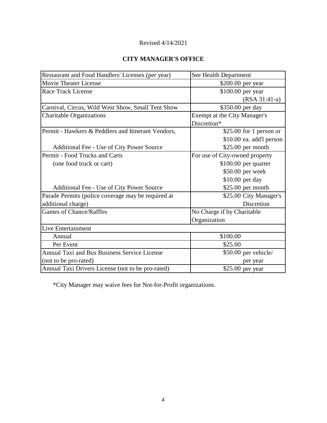# **CITY MANAGER'S OFFICE**

| Restaurant and Food Handlers' Licenses (per year)  | See Health Department          |
|----------------------------------------------------|--------------------------------|
| <b>Movie Theater License</b>                       | \$200.00 per year              |
| <b>Race Track License</b>                          | \$100.00 per year              |
|                                                    | $(RSA 31:41-a)$                |
| Carnival, Circus, Wild West Show, Small Tent Show  | \$350.00 per day               |
| <b>Charitable Organizations</b>                    | Exempt at the City Manager's   |
|                                                    | Discretion*                    |
| Permit - Hawkers & Peddlers and Itinerant Vendors, | $$25.00$ for 1 person or       |
|                                                    | \$10.00 ea. add'l person       |
| Additional Fee - Use of City Power Source          | \$25.00 per month              |
| Permit - Food Trucks and Carts                     | For use of City-owned property |
| (one food truck or cart)                           | $$100.00$ per quarter          |
|                                                    | \$50.00 per week               |
|                                                    | \$10.00 per day                |
| Additional Fee - Use of City Power Source          | $$25.00$ per month             |
| Parade Permits (police coverage may be required at | \$25.00 City Manager's         |
| additional charge)                                 | Discretion                     |
| <b>Games of Chance/Raffles</b>                     | No Charge if by Charitable     |
|                                                    | Organization                   |
| Live Entertainment                                 |                                |
| Annual                                             | \$100.00                       |
| Per Event                                          | \$25.00                        |
| Annual Taxi and Bus Business Service License       | \$50.00 per vehicle/           |
| (not to be pro-rated)                              | per year                       |
| Annual Taxi Drivers License (not to be pro-rated)  | \$25.00 per year               |

\*City Manager may waive fees for Not-for-Profit organizations.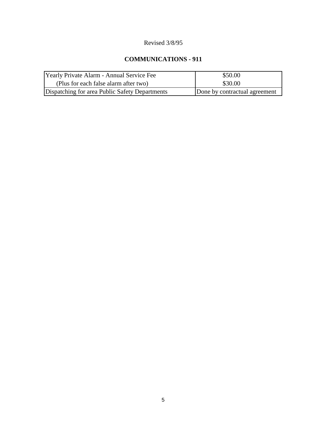# Revised 3/8/95

# **COMMUNICATIONS - 911**

| Yearly Private Alarm - Annual Service Fee      | \$50.00                       |
|------------------------------------------------|-------------------------------|
| (Plus for each false alarm after two)          | \$30.00                       |
| Dispatching for area Public Safety Departments | Done by contractual agreement |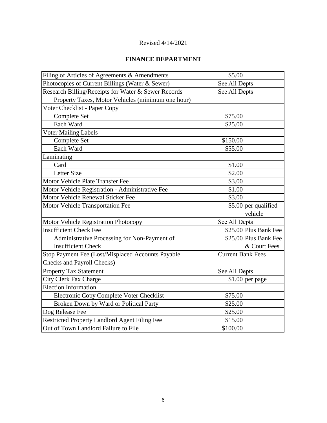# **FINANCE DEPARTMENT**

| Filing of Articles of Agreements & Amendments        | \$5.00                   |
|------------------------------------------------------|--------------------------|
| Photocopies of Current Billings (Water & Sewer)      | See All Depts            |
| Research Billing/Receipts for Water & Sewer Records  | See All Depts            |
| Property Taxes, Motor Vehicles (minimum one hour)    |                          |
| Voter Checklist - Paper Copy                         |                          |
| Complete Set                                         | \$75.00                  |
| Each Ward                                            | \$25.00                  |
| <b>Voter Mailing Labels</b>                          |                          |
| Complete Set                                         | \$150.00                 |
| Each Ward                                            | \$55.00                  |
| Laminating                                           |                          |
| Card                                                 | \$1.00                   |
| <b>Letter Size</b>                                   | \$2.00                   |
| Motor Vehicle Plate Transfer Fee                     | \$3.00                   |
| Motor Vehicle Registration - Administrative Fee      | \$1.00                   |
| Motor Vehicle Renewal Sticker Fee                    | \$3.00                   |
| Motor Vehicle Transportation Fee                     | \$5.00 per qualified     |
|                                                      | vehicle                  |
| Motor Vehicle Registration Photocopy                 | See All Depts            |
| <b>Insufficient Check Fee</b>                        | \$25.00 Plus Bank Fee    |
| Administrative Processing for Non-Payment of         | \$25.00 Plus Bank Fee    |
| <b>Insufficient Check</b>                            | & Court Fees             |
| Stop Payment Fee (Lost/Misplaced Accounts Payable    | <b>Current Bank Fees</b> |
| <b>Checks and Payroll Checks)</b>                    |                          |
| <b>Property Tax Statement</b>                        | See All Depts            |
| <b>City Clerk Fax Charge</b>                         | $$1.00$ per page         |
| <b>Election Information</b>                          |                          |
| Electronic Copy Complete Voter Checklist             | \$75.00                  |
| Broken Down by Ward or Political Party               | \$25.00                  |
| Dog Release Fee                                      | \$25.00                  |
| <b>Restricted Property Landlord Agent Filing Fee</b> | \$15.00                  |
| Out of Town Landlord Failure to File                 | \$100.00                 |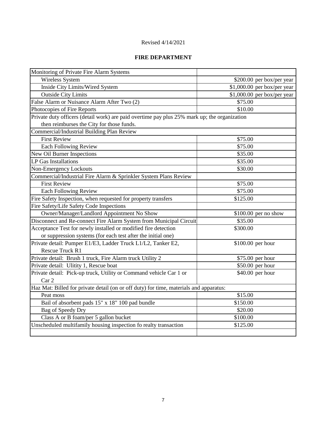# **FIRE DEPARTMENT**

| Monitoring of Private Fire Alarm Systems                                                     |                              |
|----------------------------------------------------------------------------------------------|------------------------------|
| Wireless System                                                                              | \$200.00 per box/per year    |
| Inside City Limits/Wired System                                                              | $$1,000.00$ per box/per year |
| <b>Outside City Limits</b>                                                                   | $$1,000.00$ per box/per year |
| False Alarm or Nuisance Alarm After Two (2)                                                  | \$75.00                      |
| Photocopies of Fire Reports                                                                  | \$10.00                      |
| Private duty officers (detail work) are paid overtime pay plus 25% mark up; the organization |                              |
| then reimburses the City for those funds.                                                    |                              |
| Commercial/Industrial Building Plan Review                                                   |                              |
| <b>First Review</b>                                                                          | \$75.00                      |
| <b>Each Following Review</b>                                                                 | \$75.00                      |
| <b>New Oil Burner Inspections</b>                                                            | \$35.00                      |
| LP Gas Installations                                                                         | \$35.00                      |
| Non-Emergency Lockouts                                                                       | \$30.00                      |
| Commercial/Industrial Fire Alarm & Sprinkler System Plans Review                             |                              |
| <b>First Review</b>                                                                          | \$75.00                      |
| <b>Each Following Review</b>                                                                 | \$75.00                      |
| Fire Safety Inspection, when requested for property transfers                                | \$125.00                     |
| Fire Safety/Life Safety Code Inspections                                                     |                              |
| Owner/Manager/Landlord Appointment No Show                                                   | \$100.00 per no show         |
| Disconnect and Re-connect Fire Alarm System from Municipal Circuit                           | \$35.00                      |
| Acceptance Test for newly installed or modified fire detection                               | \$300.00                     |
| or suppression systems (for each test after the initial one)                                 |                              |
| Private detail: Pumper E1/E3, Ladder Truck L1/L2, Tanker E2,                                 | \$100.00 per hour            |
| Rescue Truck R1                                                                              |                              |
| Private detail: Brush 1 truck, Fire Alarm truck Utility 2                                    | \$75.00 per hour             |
| Private detail: Ulitity 1, Rescue boat                                                       | \$50.00 per hour             |
| Private detail: Pick-up truck, Utility or Command vehicle Car 1 or                           | \$40.00 per hour             |
| Car 2                                                                                        |                              |
| Haz Mat: Billed for private detail (on or off duty) for time, materials and apparatus:       |                              |
| Peat moss                                                                                    | \$15.00                      |
| Bail of absorbent pads 15" x 18" 100 pad bundle                                              | \$150.00                     |
| <b>Bag of Speedy Dry</b>                                                                     | \$20.00                      |
| Class A or B foam/per 5 gallon bucket                                                        | \$100.00                     |
| Unscheduled multifamily housing inspection fo realty transaction                             | \$125.00                     |
|                                                                                              |                              |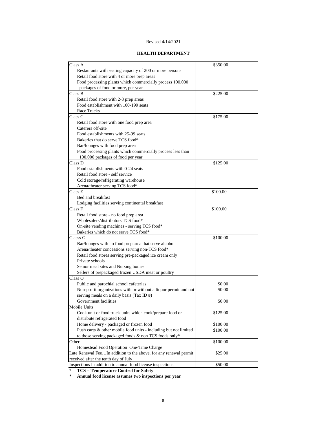#### **HEALTH DEPARTMENT**

| Class A                                                          | \$350.00 |
|------------------------------------------------------------------|----------|
| Restaurants with seating capacity of 200 or more persons         |          |
| Retail food store with 4 or more prep areas                      |          |
| Food processing plants which commercially process 100,000        |          |
| packages of food or more, per year                               |          |
| Class B                                                          | \$225.00 |
| Retail food store with 2-3 prep areas                            |          |
| Food establishment with 100-199 seats                            |          |
| Race Tracks                                                      |          |
| Class C                                                          | \$175.00 |
| Retail food store with one food prep area                        |          |
| Caterers off-site                                                |          |
| Food establishments with 25-99 seats                             |          |
| Bakeries that do serve TCS food*                                 |          |
| Bar/lounges with food prep area                                  |          |
| Food processing plants which commercially process less than      |          |
| 100,000 packages of food per year                                |          |
| Class D                                                          | \$125.00 |
| Food establishments with 0-24 seats                              |          |
| Retail food store - self service                                 |          |
| Cold storage/refrigerating warehouse                             |          |
| Arena/theater serving TCS food*                                  |          |
| $\overline{\text{Class}}$ E                                      | \$100.00 |
| Bed and breakfast                                                |          |
| Lodging facilities serving continental breakfast                 |          |
| Class F                                                          | \$100.00 |
| Retail food store - no food prep area                            |          |
| Wholesalers/distributors TCS food*                               |          |
| On-site vending machines - serving TCS food*                     |          |
| Bakeries which do not serve TCS food*                            |          |
| Classs G                                                         | \$100.00 |
| Bar/lounges with no food prep area that serve alcohol            |          |
| Arena/theater concessions serving non-TCS food*                  |          |
| Retail food stores serving pre-packaged ice cream only           |          |
| Private schools                                                  |          |
| Senior meal sites and Nursing homes                              |          |
| Sellers of prepackaged frozen USDA meat or poultry               |          |
| Class O                                                          |          |
| Public and parochial school cafeterias                           | \$0.00   |
| Non-profit organizations with or without a liquor permit and not | \$0.00   |
| serving meals on a daily basis (Tax ID #)                        |          |
| Government facilities                                            | \$0.00   |
| Mobile Units                                                     |          |
| Cook unit or food truck-units which cook/prepare food or         | \$125.00 |
| distribute refrigerated food                                     |          |
| Home delivery - packaged or frozen food                          | \$100.00 |
| Push carts & other mobile food units - including but not limited | \$100.00 |
| to those serving packaged foods & non TCS foods only*            |          |
| Other                                                            | \$100.00 |
| Homestead Food Operation One-Time Charge                         |          |
| Late Renewal FeeIn addition to the above, for any renewal permit | \$25.00  |
| received after the tenth day of July                             |          |
| Inspections in addition to annual food license inspections       | \$50.00  |
|                                                                  |          |

\* **TCS = Temperature Control for Safety**

\* **Annual food license assumes two inspections per year**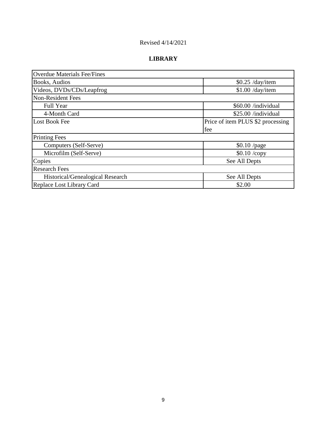# **LIBRARY**

| <b>Overdue Materials Fee/Fines</b> |                                   |
|------------------------------------|-----------------------------------|
| Books, Audios                      | $$0.25$ /day/item                 |
| Videos, DVDs/CDs/Leapfrog          | $$1.00$ /day/item                 |
| <b>Non-Resident Fees</b>           |                                   |
| <b>Full Year</b>                   | \$60.00 /individual               |
| 4-Month Card                       | \$25.00 /individual               |
| <b>Lost Book Fee</b>               | Price of item PLUS \$2 processing |
|                                    | fee                               |
| <b>Printing Fees</b>               |                                   |
| Computers (Self-Serve)             | $$0.10$ /page                     |
| Microfilm (Self-Serve)             | \$0.10 /copy                      |
| Copies                             | See All Depts                     |
| <b>Research Fees</b>               |                                   |
| Historical/Genealogical Research   | See All Depts                     |
| Replace Lost Library Card          | \$2.00                            |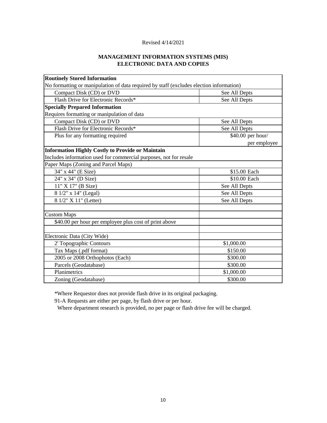#### **MANAGEMENT INFORMATION SYSTEMS (MIS) ELECTRONIC DATA AND COPIES**

| <b>Routinely Stored Information</b>                                                     |                   |
|-----------------------------------------------------------------------------------------|-------------------|
| No formatting or manipulation of data required by staff (excludes election information) |                   |
| Compact Disk (CD) or DVD                                                                | See All Depts     |
| Flash Drive for Electronic Records*                                                     | See All Depts     |
| <b>Specially Prepared Information</b>                                                   |                   |
| Requires formatting or manipulation of data                                             |                   |
| Compact Disk (CD) or DVD                                                                | See All Depts     |
| Flash Drive for Electronic Records*                                                     | See All Depts     |
| Plus for any formatting required                                                        | \$40.00 per hour/ |
|                                                                                         | per employee      |
| <b>Information Highly Costly to Provide or Maintain</b>                                 |                   |
| Includes information used for commercial purposes, not for resale                       |                   |
| Paper Maps (Zoning and Parcel Maps)                                                     |                   |
| 34" x 44" (E Size)                                                                      | \$15.00 Each      |
| 24" x 34" (D Size)                                                                      | \$10.00 Each      |
| 11" X 17" (B Size)                                                                      | See All Depts     |
| 8 1/2" x 14" (Legal)                                                                    | See All Depts     |
| 8 1/2" X 11" (Letter)                                                                   | See All Depts     |
|                                                                                         |                   |
| <b>Custom Maps</b>                                                                      |                   |
| \$40.00 per hour per employee plus cost of print above                                  |                   |
|                                                                                         |                   |
| Electronic Data (City Wide)                                                             |                   |
| 2' Topographic Contours                                                                 | \$1,000.00        |
| Tax Maps (.pdf format)                                                                  | \$150.00          |
| 2005 or 2008 Orthophotos (Each)                                                         | \$300.00          |
| Parcels (Geodatabase)                                                                   | \$300.00          |
| Planimetrics                                                                            | \$1,000.00        |
| Zoning (Geodatabase)                                                                    | \$300.00          |

\*Where Requestor does not provide flash drive in its original packaging.

91-A Requests are either per page, by flash drive or per hour.

Where department research is provided, no per page or flash drive fee will be charged.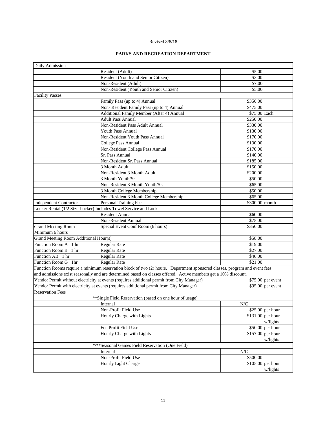#### Revised 8/8/18

#### **PARKS AND RECREATION DEPARTMENT**

| Daily Admission                                                                                                           |                   |  |
|---------------------------------------------------------------------------------------------------------------------------|-------------------|--|
| Resident (Adult)                                                                                                          | \$5.00            |  |
| Resident (Youth and Senior Citizen)                                                                                       | \$3.00            |  |
| Non-Resident (Adult)                                                                                                      | \$7.00            |  |
| Non-Resident (Youth and Senior Citizen)                                                                                   | \$5.00            |  |
| <b>Facility Passes</b>                                                                                                    |                   |  |
| Family Pass (up to 4) Annual                                                                                              | \$350.00          |  |
| Non-Resident Family Pass (up to 4) Annual                                                                                 | \$475.00          |  |
| Additional Family Member (After 4) Annual                                                                                 | \$75.00 Each      |  |
| <b>Adult Pass Annual</b>                                                                                                  | \$250.00          |  |
| Non-Resident Pass Adult Annual                                                                                            | \$330.00          |  |
| Youth Pass Annual                                                                                                         | \$130.00          |  |
| Non-Resident Youth Pass Annual                                                                                            | \$170.00          |  |
| College Pass Annual                                                                                                       | \$130.00          |  |
| Non-Resident College Pass Annual                                                                                          | \$170.00          |  |
| Sr. Pass Annual                                                                                                           | \$140.00          |  |
| Non-Resident Sr. Pass Annual                                                                                              | \$185.00          |  |
| 3 Month Adult                                                                                                             | \$150.00          |  |
| Non-Resident 3 Month Adult                                                                                                | \$200.00          |  |
| 3 Month Youth/Sr                                                                                                          | \$50.00           |  |
| Non-Resident 3 Month Youth/Sr.                                                                                            | \$65.00           |  |
| 3 Month College Membership                                                                                                | \$50.00           |  |
| Non-Resident 3 Month College Membership                                                                                   | \$65.00           |  |
| <b>Independent Contractor</b><br>Personal Training Fee                                                                    | \$300.00 month    |  |
| Locker Rental (1/2 Size Locker) Includes Towel Service and Lock                                                           |                   |  |
| <b>Resident Annual</b>                                                                                                    | \$60.00           |  |
| Non-Resident Annual                                                                                                       | \$75.00           |  |
| Special Event Conf Room (6 hours)<br><b>Grand Meeting Room</b>                                                            | \$350.00          |  |
| Minimum 6 hours                                                                                                           |                   |  |
| Grand Meeting Room Additional Hour(s)                                                                                     | \$58.00           |  |
| Function Room A 1 hr<br>Regular Rate                                                                                      | \$19.00           |  |
| Function Room B 1 hr<br>Regular Rate                                                                                      | \$27.00           |  |
| Function AB 1 hr<br>Regular Rate                                                                                          | \$46.00           |  |
| Function Room G 1hr<br>Regular Rate                                                                                       | \$21.00           |  |
| Function Rooms require a minimum reservation block of two (2) hours. Department sponsored classes, program and event fees |                   |  |
| and admissions exist seasonally and are determined based on classes offered. Active members get a 10% discount.           |                   |  |
| Vendor Permit without electricity at events (requires additional permit from City Manager)<br>\$75.00 per event           |                   |  |
| Vendor Permit with electricity at events (requires additional permit from City Manager)<br>\$95.00 per event              |                   |  |
| <b>Reservation Fees</b>                                                                                                   |                   |  |
| ** Single Field Reservation (based on one hour of usage)                                                                  |                   |  |
| Internal                                                                                                                  | N/C               |  |
| Non-Profit Field Use                                                                                                      | \$25.00 per hour  |  |
| Hourly Charge with Lights                                                                                                 | \$131.00 per hour |  |
|                                                                                                                           | w/lights          |  |
| For-Profit Field Use                                                                                                      | \$50.00 per hour  |  |
| Hourly Charge with Lights                                                                                                 | \$157.00 per hour |  |
|                                                                                                                           | w/lights          |  |
| */**Seasonal Games Field Reservation (One Field)                                                                          |                   |  |
| Internal                                                                                                                  | N/C               |  |
| Non-Profit Field Use                                                                                                      | \$500.00          |  |
| Hourly Light Charge                                                                                                       | \$105.00 per hour |  |
|                                                                                                                           | w/lights          |  |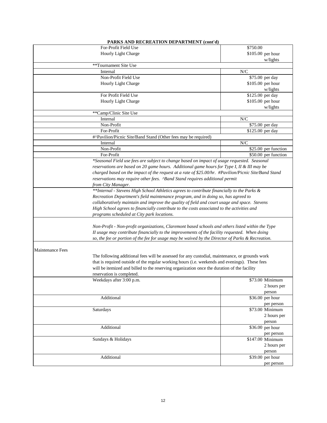|                         | PARKS AND RECREATION DEPARTMENT (cont'd)                                                             |                              |
|-------------------------|------------------------------------------------------------------------------------------------------|------------------------------|
|                         | For-Profit Field Use                                                                                 | \$750.00                     |
|                         | Hourly Light Charge                                                                                  | \$105.00 per hour            |
|                         |                                                                                                      | w/lights                     |
|                         | **Tournament Site Use                                                                                |                              |
|                         | Internal                                                                                             | N/C                          |
|                         | Non-Profit Field Use                                                                                 | \$75.00 per day              |
|                         | Hourly Light Charge                                                                                  | \$105.00 per hour            |
|                         |                                                                                                      | w/lights                     |
|                         | For Profit Field Use                                                                                 | \$125.00 per day             |
|                         | Hourly Light Charge                                                                                  | \$105.00 per hour            |
|                         |                                                                                                      | w/lights                     |
|                         | **Camp/Clinic Site Use                                                                               |                              |
|                         | Internal                                                                                             | N/C                          |
|                         | Non-Profit                                                                                           | \$75.00 per day              |
|                         | For-Profit                                                                                           | \$125.00 per day             |
|                         | #^Pavilion/Picnic Site/Band Stand (Other fees may be required)                                       |                              |
|                         | Internal                                                                                             | N/C                          |
|                         | Non-Profit                                                                                           | \$25.00 per function         |
|                         | For-Profit                                                                                           | \$50.00 per function         |
|                         | *Seasonal Field use fees are subject to change based on impact of usage requested. Seasonal          |                              |
|                         | reservations are based on 20 game hours. Additional game hours for Type I, II & III may be           |                              |
|                         |                                                                                                      |                              |
|                         | charged based on the impact of the request at a rate of \$25.00/hr. #Pavilion/Picnic Site/Band Stand |                              |
|                         | reservations may require other fees. ^Band Stand requires additional permit                          |                              |
|                         | from City Manager.                                                                                   |                              |
|                         | **Internal - Stevens High School Athletics agrees to contribute financially to the Parks &           |                              |
|                         | Recreation Department's field maintenance program, and in doing so, has agreed to                    |                              |
|                         | collaboratively maintain and improve the quality of field and court usage and space. Stevens         |                              |
|                         | High School agrees to financially contribute to the costs associated to the activities and           |                              |
|                         | programs scheduled at City park locations.                                                           |                              |
|                         |                                                                                                      |                              |
|                         | Non-Profit - Non-profit organizations, Claremont based schools and others listed within the Type     |                              |
|                         | II usage may contribute financially to the improvements of the facility requested. When doing        |                              |
|                         | so, the fee or portion of the fee for usage may be waived by the Director of Parks & Recreation.     |                              |
|                         |                                                                                                      |                              |
| <b>Maintenance Fees</b> |                                                                                                      |                              |
|                         | The following additional fees will be assessed for any custodial, maintenance, or grounds work       |                              |
|                         | that is required outside of the regular working hours (i.e. weekends and evenings). These fees       |                              |
|                         | will be itemized and billed to the reserving organization once the duration of the facility          |                              |
|                         | reservation is completed.                                                                            |                              |
|                         | Weekdays after 3:00 p.m.                                                                             | \$73.00 Minimum              |
|                         |                                                                                                      |                              |
|                         |                                                                                                      | 2 hours per                  |
|                         |                                                                                                      | person                       |
|                         | Additional                                                                                           | \$36.00 per hour             |
|                         |                                                                                                      | per person                   |
|                         | Saturdays                                                                                            | \$73.00 Minimum              |
|                         |                                                                                                      | 2 hours per                  |
|                         |                                                                                                      | person                       |
|                         | Additional                                                                                           | \$36.00 per hour             |
|                         |                                                                                                      | per person                   |
|                         | Sundays & Holidays                                                                                   | \$147.00 Minimum             |
|                         |                                                                                                      | 2 hours per                  |
|                         |                                                                                                      | person                       |
|                         | Additional                                                                                           | $\overline{$39.00}$ per hour |
|                         |                                                                                                      | per person                   |
|                         |                                                                                                      |                              |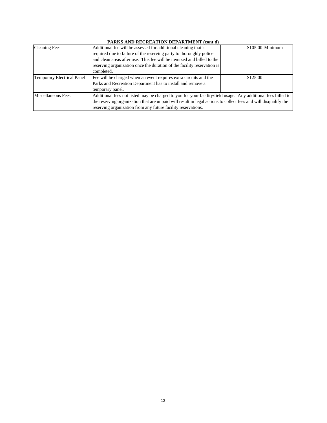### **PARKS AND RECREATION DEPARTMENT (cont'd)**

| <b>Cleaning Fees</b>              | Additional fee will be assessed for additional cleaning that is                                                 | \$105.00 Minimum |  |
|-----------------------------------|-----------------------------------------------------------------------------------------------------------------|------------------|--|
|                                   | required due to failure of the reserving party to thoroughly police                                             |                  |  |
|                                   | and clean areas after use. This fee will be itemized and billed to the                                          |                  |  |
|                                   | reserving organization once the duration of the facility reservation is                                         |                  |  |
|                                   | completed.                                                                                                      |                  |  |
| <b>Temporary Electrical Panel</b> | Fee will be charged when an event requires extra circuits and the                                               | \$125.00         |  |
|                                   | Parks and Recreation Department has to install and remove a                                                     |                  |  |
|                                   | temporary panel.                                                                                                |                  |  |
| Miscellaneous Fees                | Additional fees not listed may be charged to you for your facility/field usage. Any additional fees billed to   |                  |  |
|                                   | the reserving organization that are unpaid will result in legal actions to collect fees and will disqualify the |                  |  |
|                                   | reserving organization from any future facility reservations.                                                   |                  |  |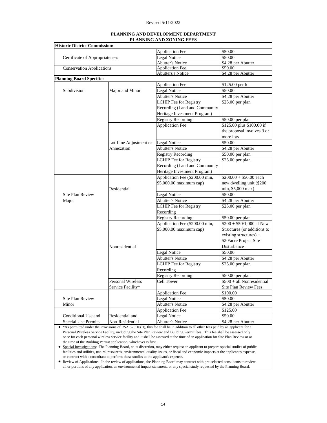| PLANNING AND DEVELOPMENT DEPARTMENT |
|-------------------------------------|
| <b>PLANNING AND ZONING FEES</b>     |

|                                                                    | <b>Historic District Commission:</b> |                                         |                               |
|--------------------------------------------------------------------|--------------------------------------|-----------------------------------------|-------------------------------|
|                                                                    |                                      | Application Fee                         | \$50.00                       |
| Certificate of Appropriateness<br><b>Conservation Applications</b> |                                      | Legal Notice                            | \$50.00                       |
|                                                                    |                                      | <b>Abutter's Notice</b>                 | \$4.28 per Abutter            |
|                                                                    |                                      | <b>Application Fee</b>                  | \$50.00                       |
|                                                                    |                                      | <b>Abutters's Notice</b>                | \$4.28 per Abutter            |
| <b>Planning Board Specific:</b>                                    |                                      |                                         |                               |
|                                                                    |                                      | <b>Application Fee</b>                  | \$125.00 per lot              |
| Subdivision                                                        | Major and Minor                      | Legal Notice                            | \$50.00                       |
|                                                                    |                                      | <b>Abutter's Notice</b>                 | \$4.28 per Abutter            |
|                                                                    |                                      | LCHIP Fee for Registry                  | \$25.00 per plan              |
|                                                                    |                                      | Recording (Land and Community           |                               |
|                                                                    |                                      | Heritage Investment Program)            |                               |
|                                                                    |                                      | <b>Registry Recording</b>               | \$50.00 per plan              |
|                                                                    |                                      | <b>Application Fee</b>                  | \$125.00 plus \$100.00 if     |
|                                                                    |                                      |                                         | the proposal involves 3 or    |
|                                                                    |                                      |                                         | more lots                     |
|                                                                    | Lot Line Adjustment or               | Legal Notice                            | \$50.00                       |
|                                                                    | Annexation                           | <b>Abutter's Notice</b>                 | \$4.28 per Abutter            |
|                                                                    |                                      | <b>Registry Recording</b>               | $\sqrt{$50.00}$ per plan      |
|                                                                    |                                      | <b>LCHIP</b> Fee for Registry           | \$25.00 per plan              |
|                                                                    |                                      | Recording (Land and Community           |                               |
|                                                                    |                                      | Heritage Investment Program)            |                               |
|                                                                    |                                      | Application Fee (\$200.00 min,          | $$200.00 + $50.00$ each       |
|                                                                    |                                      | \$5,000.00 maximum cap)                 | new dwelling unit (\$200      |
|                                                                    | Residential                          |                                         | min, \$5,000 max)             |
| <b>Site Plan Review</b>                                            |                                      | Legal Notice                            | \$50.00                       |
| Major                                                              |                                      | <b>Abutter's Notice</b>                 | \$4.28 per Abutter            |
|                                                                    |                                      | LCHIP Fee for Registry                  | \$25.00 per plan              |
|                                                                    |                                      | Recording                               |                               |
|                                                                    |                                      | <b>Registry Recording</b>               | \$50.00 per plan              |
|                                                                    |                                      | Application Fee (\$200.00 min,          | $$200 + $50/1,000$ sf New     |
|                                                                    |                                      | \$5,000.00 maximum cap)                 | Structures (or additions to   |
|                                                                    |                                      |                                         | existing structures) +        |
|                                                                    |                                      |                                         | \$20/acre Project Site        |
|                                                                    | Nonresidential                       |                                         | Disturbance                   |
|                                                                    |                                      |                                         | \$50.00                       |
|                                                                    |                                      | Legal Notice                            |                               |
|                                                                    |                                      | <b>Abutter's Notice</b>                 | \$4.28 per Abutter            |
|                                                                    |                                      | <b>LCHIP</b> Fee for Registry           | \$25.00 per plan              |
|                                                                    |                                      | Recording                               |                               |
|                                                                    |                                      | <b>Registry Recording</b>               | \$50.00 per plan              |
|                                                                    | Personal Wireless                    | Cell Tower                              | \$500 + all Nonresidential    |
|                                                                    | Service Facility*                    |                                         | Site Plan Review Fees         |
|                                                                    |                                      | <b>Application Fee</b>                  | \$100.00                      |
|                                                                    |                                      | Legal Notice                            | \$50.00                       |
| Site Plan Review                                                   |                                      |                                         |                               |
| Minor                                                              |                                      | <b>Abutter's Notice</b>                 | \$4.28 per Abutter            |
|                                                                    |                                      | <b>Application Fee</b>                  | \$125.00                      |
| Conditional Use and<br>Special Use Permits                         | Residential and<br>Non-Residential   | Legal Notice<br><b>Abutter's Notice</b> | \$50.00<br>\$4.28 per Abutter |

once for each personal wireless service facility and it shall be assessed at the time of an application for Site Plan Review or at the time of the Building Permit application, whichever is first.

 Special Investigations: The Planning Board, at its discretion, may either request an applicant to prepare special studies of public facilities and utilities, natural resources, environmental quality issues, or fiscal and economic impacts at the applicant's expense, or contract with a consultant to perform these studies at the applicant's expense.

 Review of Applications: In the review of applications, the Planning Board may contract with pre-selected consultants to review all or portions of any application, an environmental impact statement, or any special study requested by the Planning Board.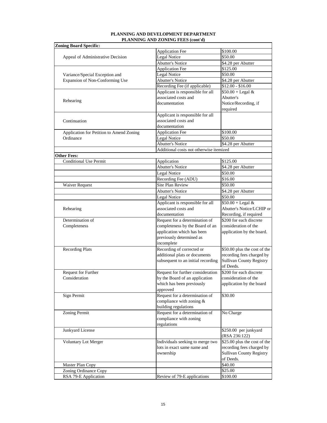#### **PLANNING AND DEVELOPMENT DEPARTMENT PLANNING AND ZONING FEES (cont'd)**

| <b>Zoning Board Specific:</b>            | <b>Application Fee</b>                  | \$100.00                        |
|------------------------------------------|-----------------------------------------|---------------------------------|
| Appeal of Administrative Decision        | Legal Notice                            | \$50.00                         |
|                                          | <b>Abutter's Notice</b>                 | \$4.28 per Abutter              |
|                                          | Application Fee                         | $\overline{$}125.00$            |
| Variance/Special Exception and           | Legal Notice                            | \$50.00                         |
| Expansion of Non-Conforming Use          | <b>Abutter's Notice</b>                 | \$4.28 per Abutter              |
|                                          | Recording Fee (if applicable)           | $$12.00 - $16.00$               |
|                                          | Applicant is responsible for all        | $$50.00 + Legal &$              |
|                                          | associated costs and                    | Abutter's                       |
| Rehearing                                | documentation                           | Notice/Recording, if            |
|                                          |                                         | required                        |
|                                          | Applicant is responsible for all        |                                 |
| Continuation                             | associated costs and                    |                                 |
|                                          | documentation                           |                                 |
| Application for Petition to Amend Zoning | <b>Application Fee</b>                  | \$100.00                        |
| Ordinance                                | Legal Notice                            | \$50.00                         |
|                                          | <b>Abutter's Notice</b>                 | \$4.28 per Abutter              |
|                                          | Additional costs not otherwise itemized |                                 |
| <b>Other Fees:</b>                       |                                         |                                 |
| <b>Conditional Use Permit</b>            | Application                             | \$125.00                        |
|                                          | <b>Abutter's Notice</b>                 | \$4.28 per Abutter              |
|                                          | Legal Notice                            | \$50.00                         |
|                                          | Recording Fee (ADU)                     | \$16.00                         |
| Waiver Request                           | <b>Site Plan Review</b>                 | \$50.00                         |
|                                          | <b>Abutter's Notice</b>                 | \$4.28 per Abutter              |
|                                          | Legal Notice                            | \$50.00                         |
|                                          | Applicant is responsible for all        | $$50.00 + Legal &$              |
| Rehearing                                | associated costs and                    | Abutter's Notice/LCHIP or       |
|                                          | documentation                           | Recording, if required          |
| Determination of                         | Request for a determination of          | \$200 for each discrete         |
| Completeness                             | completeness by the Board of an         | consideration of the            |
|                                          | application which has been              | application by the board.       |
|                                          | previously determined as                |                                 |
|                                          | incomplete                              |                                 |
| <b>Recording Plats</b>                   | Recording of corrected or               | \$50.00 plus the cost of the    |
|                                          | additional plats or documents           | recording fees charged by       |
|                                          | subsequent to an initial recording      | <b>Sullivan County Registry</b> |
|                                          |                                         | of Deeds.                       |
| Request for Further                      | Request for further consideration       | \$200 for each discrete         |
| Consideration                            | by the Board of an application          | consideration of the            |
|                                          | which has been previously               | application by the board        |
|                                          | approved                                |                                 |
| Sign Permit                              | Request for a determination of          | \$30.00                         |
|                                          | compliance with zoning &                |                                 |
|                                          | building regulations                    |                                 |
| Zoning Permit                            | Request for a determination of          | No Charge                       |
|                                          | compliance with zoning                  |                                 |
|                                          | regulations                             |                                 |
| Junkyard License                         |                                         | \$250.00 per junkyard           |
|                                          |                                         | (RSA 236:122)                   |
| Voluntary Lot Merger                     | Individuals seeking to merge two        | \$25.00 plus the cost of the    |
|                                          | lots in exact same name and             | recording fees charged by       |
|                                          | ownership                               | <b>Sullivan County Registry</b> |
|                                          |                                         | of Deeds.                       |
| Master Plan Copy                         |                                         | \$40.00                         |
|                                          |                                         | \$25.00                         |
| Zoning Ordinance Copy                    |                                         |                                 |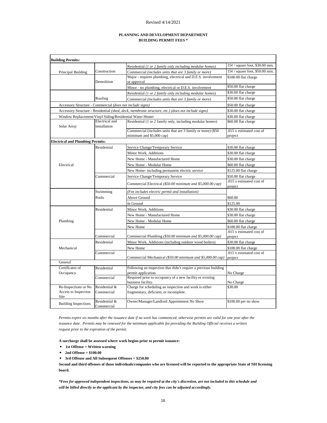#### **PLANNING AND DEVELOPMENT DEPARTMENT BUILDING PERMIT FEES \***

| <b>Building Permits:</b>                                  |                                |                                                                                                   |                                     |
|-----------------------------------------------------------|--------------------------------|---------------------------------------------------------------------------------------------------|-------------------------------------|
|                                                           |                                | Residential (1 or 2 family only including modular homes)                                          | $15¢$ / square foot, \$30.00 min.   |
| Principal Building                                        | Construction                   | Commercial (includes units that are 3 family or more)                                             | $15¢$ / square foot, \$50.00 min.   |
|                                                           |                                | Major - requires plumbing, electrical and D.E.S. involvement                                      | \$100.00 flat charge                |
|                                                           | Demolition                     | or approval                                                                                       |                                     |
|                                                           |                                | Minor - no plumbing, electrical or D.E.S. involvement                                             | \$50.00 flat charge                 |
|                                                           |                                | Residential (1 or 2 family only including modular homes)                                          | \$30.00 flat charge                 |
|                                                           | Roofing                        | Commercial (includes units that are 3 family or more)                                             | \$50.00 flat charge                 |
| Accessory Structure - Commercial (does not include signs) |                                |                                                                                                   | \$50.00 flat charge                 |
|                                                           |                                | Accessory Structure - Residential (shed, deck, membrane structure, etc.) (does not include signs) | \$30.00 flat charge                 |
| Window Replacement/Vinyl Siding/Residential Water Heater  |                                |                                                                                                   | \$30.00 flat charge                 |
| Solar Array                                               | Electrical and<br>installation | Residential (1 or 2 family only, including modular homes)                                         | \$60.00 flat charge                 |
|                                                           |                                | Commercial (includes units that are 3 family or more) (\$50                                       | .015 x estimated cost of            |
|                                                           |                                | minimum and \$5,000 cap)                                                                          | project                             |
| <b>Electrical and Plumbing Permits:</b>                   |                                |                                                                                                   |                                     |
|                                                           | Residential                    | Service Change/Temporary Service                                                                  | \$30.00 flat charge                 |
|                                                           |                                | Minor Work, Additions                                                                             | \$30.00 flat charge                 |
|                                                           |                                | New Home - Manufactured Home                                                                      | \$30.00 flat charge                 |
| Electrical                                                |                                | New Home - Modular Home                                                                           | \$60.00 flat charge                 |
|                                                           |                                | New Home- including permanent electric service                                                    | \$125.00 flat charge                |
|                                                           | Commercial                     | Service Change/Temporary Service                                                                  | \$50.00 flat charge                 |
|                                                           |                                | Commercial Electrical (\$50.00 minimum and \$5,000.00 cap)                                        | .015 x estimated cost of<br>project |
|                                                           | Swimming                       | (Fee includes electric permit and installation)                                                   |                                     |
|                                                           | Pools                          | Above Ground                                                                                      | \$60.00                             |
|                                                           |                                | In Ground                                                                                         | \$125.00                            |
|                                                           | Residential                    | Minor Work, Additions                                                                             | \$30.00 flat charge                 |
|                                                           |                                | New Home - Manufactured Home                                                                      | \$30.00 flat charge                 |
| Plumbing                                                  |                                | New Home - Modular Home                                                                           | \$60.00 flat charge                 |
|                                                           |                                | New Home                                                                                          | \$100.00 flat charge                |
|                                                           |                                |                                                                                                   | .015 x estimated cost of            |
|                                                           | Commercial                     | Commercial Plumbing (\$50.00 minimum and \$5,000.00 cap)                                          | project                             |
|                                                           | Residential                    | Minor Work, Additions (including outdoor wood boilers)                                            | \$30.00 flat charge                 |
| Mechanical                                                |                                | New Home                                                                                          | \$100.00 flat charge                |
|                                                           | Commercial                     |                                                                                                   | .015 x estimated cost of            |
|                                                           |                                | Commercial Mechanical (\$50.00 minimum and \$5,000.00 cap)                                        | project                             |
| General                                                   |                                |                                                                                                   |                                     |
| Certificates of                                           | Residential                    | Following an inspection that didn't require a previous building                                   |                                     |
| Occupancy                                                 | Commercial                     | permit application<br>Required prior to occupancy of a new facility or existing                   | No Charge                           |
|                                                           |                                | business facility.                                                                                | No Charge                           |
| Re-Inspections or No                                      | Residential &                  | Charge for scheduling an inspection and work is either                                            | \$30.00                             |
| Access to Inspection<br>Site                              | Commercial                     | fragmentary, deficient, or incomplete.                                                            |                                     |
| <b>Building Inspections</b>                               | Residential &<br>Commercial    | Owner/Manager/Landlord Appointment No Show                                                        | \$100.00 per no show                |

*Permits expire six months after the issuance date if no work has commenced, otherwise permits are valid for one year after the issuance date. Permits may be renewed for the minimum applicable fee providing the Building Official receives a written request prior to the expiration of the permit.*

**A surcharge shall be assessed where work begins prior to permit issuance:** 

- **1st Offense = Written warning**
- **2nd Offense = \$100.00**
- **3rd Offense and All Subsequent Offenses = \$250.00**

**Second and third offenses of those individuals/companies who are licensed will be reported to the appropriate State of NH licensing board.**

*\*Fees for approved independent inspections, as may be required at the city's discretion, are not included in this schedule and will be billed directly to the applicant by the inspector, and city fees can be adjusted accordingly.*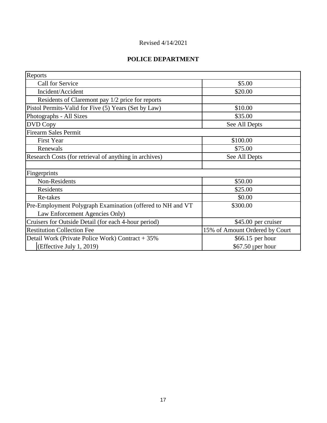# **POLICE DEPARTMENT**

| Reports                                                    |                                |
|------------------------------------------------------------|--------------------------------|
| Call for Service                                           | \$5.00                         |
| Incident/Accident                                          | \$20.00                        |
| Residents of Claremont pay 1/2 price for reports           |                                |
| Pistol Permits-Valid for Five (5) Years (Set by Law)       | \$10.00                        |
| Photographs - All Sizes                                    | \$35.00                        |
| DVD Copy                                                   | See All Depts                  |
| <b>Firearm Sales Permit</b>                                |                                |
| <b>First Year</b>                                          | \$100.00                       |
| Renewals                                                   | \$75.00                        |
| Research Costs (for retrieval of anything in archives)     | See All Depts                  |
|                                                            |                                |
| Fingerprints                                               |                                |
| Non-Residents                                              | \$50.00                        |
| Residents                                                  | \$25.00                        |
| Re-takes                                                   | \$0.00                         |
| Pre-Employment Polygraph Examination (offered to NH and VT | \$300.00                       |
| Law Enforcement Agencies Only)                             |                                |
| Cruisers for Outside Detail (for each 4-hour period)       | \$45.00 per cruiser            |
| <b>Restitution Collection Fee</b>                          | 15% of Amount Ordered by Court |
| Detail Work (Private Police Work) Contract + 35%           | \$66.15 per hour               |
| (Effective July 1, 2019)                                   | $$67.50$ per hour              |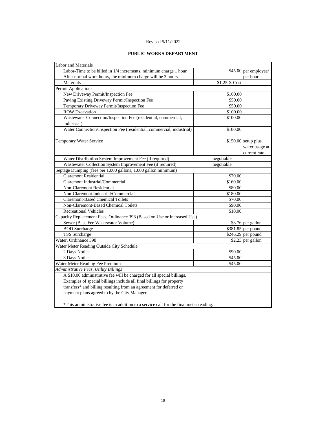#### **PUBLIC WORKS DEPARTMENT**

| Labor and Materials                                                                    |                       |
|----------------------------------------------------------------------------------------|-----------------------|
| Labor-Time to be billed in 1/4 increments, minimum charge 1 hour                       | \$45.00 per employee/ |
| After normal work hours, the minimum charge will be 3 hours                            | per hour              |
| Materials                                                                              | \$1.25 X Cost         |
| Permit Applications                                                                    |                       |
| New Driveway Permit/Inspection Fee                                                     | \$100.00              |
| Paving Existing Driveway Permit/Inspection Fee                                         | \$50.00               |
| Temporary Driveway Permit/Inspection Fee                                               | \$50.00               |
| <b>ROW Excavation</b>                                                                  | \$100.00              |
| Wastewater Connection/Inspection Fee (residential, commercial,                         | \$100.00              |
| industrial)                                                                            |                       |
| Water Connection/Inspection Fee (residential, commercial, industrial)                  | \$100.00              |
| <b>Temporary Water Service</b>                                                         | \$150.00 setup plus   |
|                                                                                        | water usage at        |
|                                                                                        | current rate          |
| Water Distribution System Improvement Fee (if required)                                | negotiable            |
| Wastewater Collection System Improvement Fee (if required)                             | negotiable            |
| Septage Dumping (fees per 1,000 gallons, 1,000 gallon minimum)                         |                       |
| <b>Claremont Residential</b>                                                           | \$70.00               |
| Claremont Industrial/Commercial                                                        | \$160.00              |
| Non-Claremont Residential                                                              | \$80.00               |
| Non-Claremont Industrial/Commercial                                                    | \$180.00              |
| <b>Claremont-Based Chemical Toilets</b>                                                | \$70.00               |
| Non-Claremont-Based Chemical Toilets                                                   | \$90.00               |
| <b>Recreational Vehicles</b><br>\$10.00                                                |                       |
| Capacity Replacement Fees, Ordinance 398 (Based on Use or Increased Use)               |                       |
| Sewer (Base Fee Wastewater Volume)                                                     | \$3.76 per gallon     |
| <b>BOD</b> Surcharge                                                                   | \$381.85 per pound    |
| <b>TSS</b> Surcharge                                                                   | \$246.29 per pound    |
| Water, Ordinance 398                                                                   | \$2.23 per gallon     |
| Water Meter Reading Outside City Schedule                                              |                       |
| 2 Days Notice                                                                          | \$90.00               |
| 3 Days Notice                                                                          | \$45.00               |
| Water Meter Reading Fee Premium                                                        | \$45.00               |
| Administrative Fees, Utility Billings                                                  |                       |
| A \$10.00 administrative fee will be charged for all special billings.                 |                       |
| Examples of special billings include all final billings for property                   |                       |
| transfers* and billing resulting from an agreement for deferred or                     |                       |
| payment plans agreed to by the City Manager.                                           |                       |
| *This administrative fee is in addition to a service call for the final meter reading. |                       |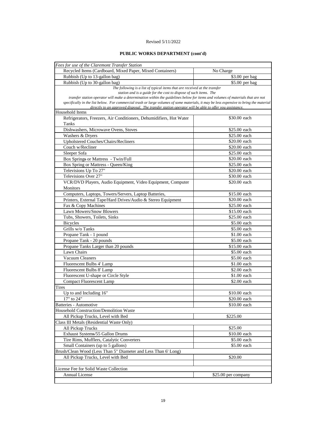#### **PUBLIC WORKS DEPARTMENT (cont'd)**

| Fees for use of the Claremont Transfer Station                                                                                                                                                                                                   |                     |
|--------------------------------------------------------------------------------------------------------------------------------------------------------------------------------------------------------------------------------------------------|---------------------|
| Recycled Items (Cardboard, Mixed Paper, Mixed Containers)                                                                                                                                                                                        | No Charge           |
| Rubbish (Up to 13-gallon bag)                                                                                                                                                                                                                    | \$3.00 per bag      |
| Rubbish (Up to 30-gallon bag)                                                                                                                                                                                                                    | \$5.00 per bag      |
| The following is a list of typical items that are received at the transfer                                                                                                                                                                       |                     |
| station and is a guide for the cost to dispose of such items. The                                                                                                                                                                                |                     |
| transfer station operator will make a determination within the guidelines below for items and volumes of materials that are not                                                                                                                  |                     |
| specifically in the list below. For commercial trash or large volumes of some materials, it may be less expensive to bring the material<br>directly to an approved disposal. The transfer station operator will be able to offer you assistance. |                     |
| Household Items                                                                                                                                                                                                                                  |                     |
| Refrigerators, Freezers, Air Conditioners, Dehumidifiers, Hot Water                                                                                                                                                                              | \$30.00 each        |
| Tanks                                                                                                                                                                                                                                            |                     |
| Dishwashers, Microwave Ovens, Stoves                                                                                                                                                                                                             | \$25.00 each        |
| Washers & Dryers                                                                                                                                                                                                                                 | \$25.00 each        |
| <b>Upholstered Couches/Chairs/Recliners</b>                                                                                                                                                                                                      | \$20.00 each        |
| Couch w/Recliner                                                                                                                                                                                                                                 | \$20.00 each        |
| Sleeper Sofa                                                                                                                                                                                                                                     | \$25.00 each        |
| Box Springs or Mattress - Twin/Full                                                                                                                                                                                                              | \$20.00 each        |
| Box Spring or Mattress - Queen/King                                                                                                                                                                                                              | \$25.00 each        |
| Televisions Up To 27"                                                                                                                                                                                                                            | \$20.00 each        |
| Televisions Over 27"                                                                                                                                                                                                                             |                     |
|                                                                                                                                                                                                                                                  | \$30.00 each        |
| VCR/DVD Players, Audio Equipment, Video Equipment, Computer                                                                                                                                                                                      | \$20.00 each        |
| Monitors                                                                                                                                                                                                                                         |                     |
| Computers, Laptops, Towers/Servers, Laptop Batteries,                                                                                                                                                                                            | \$15.00 each        |
| Printers, External Tape/Hard Drives/Audio & Stereo Equipment                                                                                                                                                                                     | \$20.00 each        |
| Fax & Copy Machines                                                                                                                                                                                                                              | \$25.00 each        |
| Lawn Mowers/Snow Blowers                                                                                                                                                                                                                         | \$15.00 each        |
| Tubs, Showers, Toilets, Sinks                                                                                                                                                                                                                    | \$25.00 each        |
| <b>Bicycles</b>                                                                                                                                                                                                                                  | \$5.00 each         |
| Grills w/o Tanks                                                                                                                                                                                                                                 | \$5.00 each         |
| Propane Tank - 1 pound                                                                                                                                                                                                                           | \$1.00 each         |
| Propane Tank - 20 pounds                                                                                                                                                                                                                         | \$5.00 each         |
| Propane Tanks Larger than 20 pounds                                                                                                                                                                                                              | \$15.00 each        |
| Lawn Chairs                                                                                                                                                                                                                                      | \$5.00 each         |
| Vacuum Cleaners                                                                                                                                                                                                                                  | \$5.00 each         |
| Fluorescent Bulbs 4' Lamp                                                                                                                                                                                                                        | \$1.00 each         |
| Fluorescent Bulbs 8' Lamp                                                                                                                                                                                                                        | \$2.00 each         |
| Fluorescent U-shape or Circle Style                                                                                                                                                                                                              | \$1.00 each         |
| <b>Compact Fluorescent Lamp</b>                                                                                                                                                                                                                  | \$2.00 each         |
| Tires                                                                                                                                                                                                                                            |                     |
| Up to and Including 16"                                                                                                                                                                                                                          | \$10.00 each        |
| 17" to 24"                                                                                                                                                                                                                                       | \$20.00 each        |
| Batteries - Automotive                                                                                                                                                                                                                           | \$10.00 each        |
| <b>Household Construction/Demolition Waste</b>                                                                                                                                                                                                   |                     |
| All Pickup Trucks, Level with Bed                                                                                                                                                                                                                | \$225.00            |
| Class III Metals (Residential Waste Only)                                                                                                                                                                                                        |                     |
| All Pickup Trucks                                                                                                                                                                                                                                | \$25.00             |
| Exhaust Systems/55 Gallon Drums                                                                                                                                                                                                                  | \$10.00 each        |
| Tire Rims, Mufflers, Catalytic Converters                                                                                                                                                                                                        | \$5.00 each         |
| Small Containers (up to 5 gallons)                                                                                                                                                                                                               | \$5.00 each         |
| Brush/Clean Wood (Less Than 5" Diameter and Less Than 6' Long)                                                                                                                                                                                   |                     |
| All Pickup Trucks, Level with Bed                                                                                                                                                                                                                | \$20.00             |
|                                                                                                                                                                                                                                                  |                     |
| License Fee for Solid Waste Collection                                                                                                                                                                                                           |                     |
| Annual License                                                                                                                                                                                                                                   |                     |
|                                                                                                                                                                                                                                                  | \$25.00 per company |
|                                                                                                                                                                                                                                                  |                     |